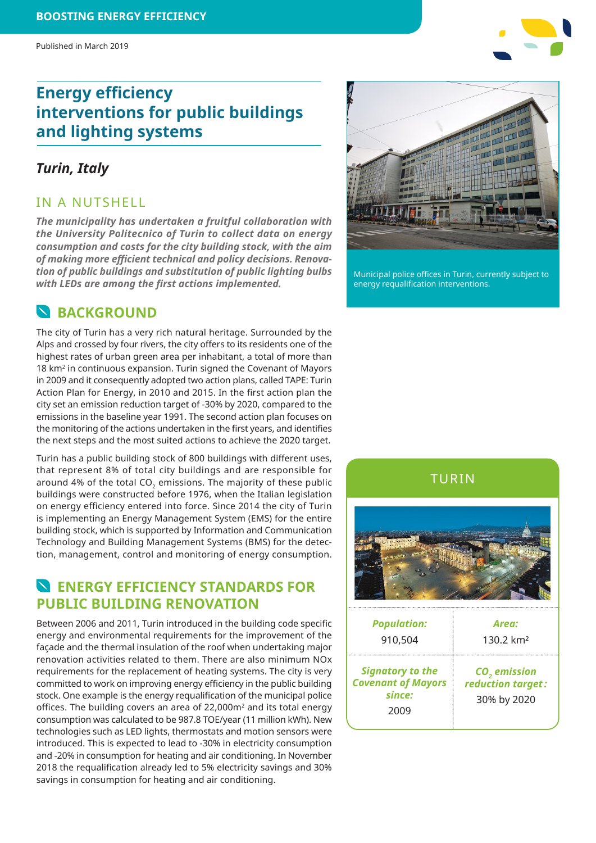# **Energy efficiency interventions for public buildings and lighting systems**

#### *Turin, Italy*

#### IN A NUTSHELL

*The municipality has undertaken a fruitful collaboration with the University Politecnico of Turin to collect data on energy consumption and costs for the city building stock, with the aim of making more efficient technical and policy decisions. Renovation of public buildings and substitution of public lighting bulbs with LEDs are among the first actions implemented.*

## **N**BACKGROUND

The city of Turin has a very rich natural heritage. Surrounded by the Alps and crossed by four rivers, the city offers to its residents one of the highest rates of urban green area per inhabitant, a total of more than 18 km<sup>2</sup> in continuous expansion. Turin signed the Covenant of Mayors in 2009 and it consequently adopted two action plans, called TAPE: Turin Action Plan for Energy, in 2010 and 2015. In the first action plan the city set an emission reduction target of -30% by 2020, compared to the emissions in the baseline year 1991. The second action plan focuses on the monitoring of the actions undertaken in the first years, and identifies the next steps and the most suited actions to achieve the 2020 target.

Turin has a public building stock of 800 buildings with different uses, that represent 8% of total city buildings and are responsible for around 4% of the total  $CO<sub>2</sub>$  emissions. The majority of these public buildings were constructed before 1976, when the Italian legislation on energy efficiency entered into force. Since 2014 the city of Turin is implementing an Energy Management System (EMS) for the entire building stock, which is supported by Information and Communication Technology and Building Management Systems (BMS) for the detection, management, control and monitoring of energy consumption.

## **N** ENERGY FEFICIENCY STANDARDS FOR **PUBLIC BUILDING RENOVATION**

Between 2006 and 2011, Turin introduced in the building code specific energy and environmental requirements for the improvement of the façade and the thermal insulation of the roof when undertaking major renovation activities related to them. There are also minimum NOx requirements for the replacement of heating systems. The city is very committed to work on improving energy efficiency in the public building stock. One example is the energy requalification of the municipal police offices. The building covers an area of 22,000m2 and its total energy consumption was calculated to be 987.8 TOE/year (11 million kWh). New technologies such as LED lights, thermostats and motion sensors were introduced. This is expected to lead to -30% in electricity consumption and -20% in consumption for heating and air conditioning. In November 2018 the requalification already led to 5% electricity savings and 30% savings in consumption for heating and air conditioning.



Municipal police offices in Turin, currently subject to energy requalification interventions.